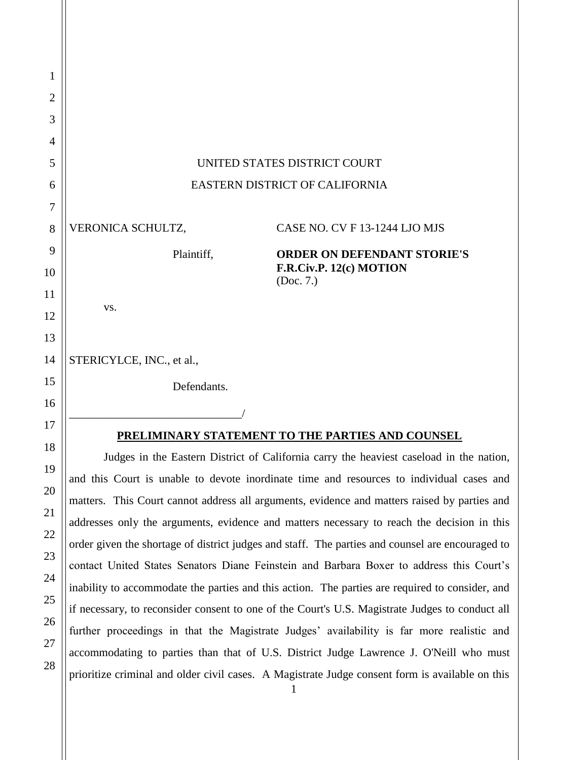| 1              |                                                                                              |                                                                                            |
|----------------|----------------------------------------------------------------------------------------------|--------------------------------------------------------------------------------------------|
| $\overline{2}$ |                                                                                              |                                                                                            |
| 3              |                                                                                              |                                                                                            |
| 4              |                                                                                              |                                                                                            |
| 5              | UNITED STATES DISTRICT COURT                                                                 |                                                                                            |
| 6              | EASTERN DISTRICT OF CALIFORNIA                                                               |                                                                                            |
| 7              |                                                                                              |                                                                                            |
| 8              | VERONICA SCHULTZ,                                                                            | CASE NO. CV F 13-1244 LJO MJS                                                              |
| 9              | Plaintiff,                                                                                   | <b>ORDER ON DEFENDANT STORIE'S</b>                                                         |
| 10             |                                                                                              | F.R.Civ.P. 12(c) MOTION<br>(Doc. 7.)                                                       |
| 11             | VS.                                                                                          |                                                                                            |
| 12             |                                                                                              |                                                                                            |
| 13             |                                                                                              |                                                                                            |
| 14             | STERICYLCE, INC., et al.,                                                                    |                                                                                            |
| 15             | Defendants.                                                                                  |                                                                                            |
| 16             |                                                                                              |                                                                                            |
| 17             | PRELIMINARY STATEMENT TO THE PARTIES AND COUNSEL                                             |                                                                                            |
| 18             | Judges in the Eastern District of California carry the heaviest caseload in the nation,      |                                                                                            |
| 19             | and this Court is unable to devote inordinate time and resources to individual cases and     |                                                                                            |
| 20             | matters. This Court cannot address all arguments, evidence and matters raised by parties and |                                                                                            |
| 21             |                                                                                              | addresses only the arguments, evidence and matters necessary to reach the decision in this |
| 22             |                                                                                              |                                                                                            |

addresses only the arguments, evidence and matters necessary to reach the decision in this order given the shortage of district judges and staff. The parties and counsel are encouraged to contact United States Senators Diane Feinstein and Barbara Boxer to address this Court's inability to accommodate the parties and this action. The parties are required to consider, and if necessary, to reconsider consent to one of the Court's U.S. Magistrate Judges to conduct all further proceedings in that the Magistrate Judges' availability is far more realistic and accommodating to parties than that of U.S. District Judge Lawrence J. O'Neill who must prioritize criminal and older civil cases. A Magistrate Judge consent form is available on this

23

24

25

26

27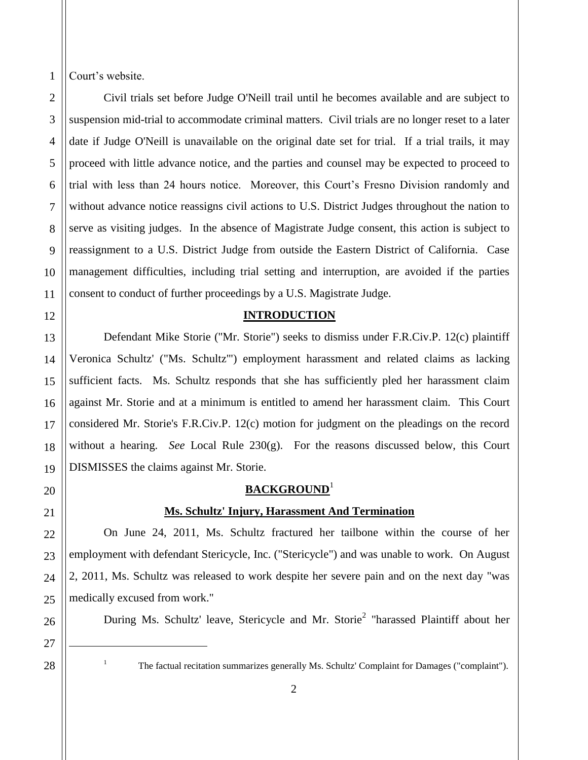Court's website.

1

2

3

4

5

6

7

Civil trials set before Judge O'Neill trail until he becomes available and are subject to suspension mid-trial to accommodate criminal matters. Civil trials are no longer reset to a later date if Judge O'Neill is unavailable on the original date set for trial. If a trial trails, it may proceed with little advance notice, and the parties and counsel may be expected to proceed to trial with less than 24 hours notice. Moreover, this Court's Fresno Division randomly and without advance notice reassigns civil actions to U.S. District Judges throughout the nation to serve as visiting judges. In the absence of Magistrate Judge consent, this action is subject to reassignment to a U.S. District Judge from outside the Eastern District of California. Case management difficulties, including trial setting and interruption, are avoided if the parties consent to conduct of further proceedings by a U.S. Magistrate Judge.

## **INTRODUCTION**

Defendant Mike Storie ("Mr. Storie") seeks to dismiss under F.R.Civ.P. 12(c) plaintiff Veronica Schultz' ("Ms. Schultz'") employment harassment and related claims as lacking sufficient facts. Ms. Schultz responds that she has sufficiently pled her harassment claim against Mr. Storie and at a minimum is entitled to amend her harassment claim. This Court considered Mr. Storie's F.R.Civ.P. 12(c) motion for judgment on the pleadings on the record without a hearing. *See* Local Rule 230(g). For the reasons discussed below, this Court DISMISSES the claims against Mr. Storie.

## **BACKGROUND**<sup>1</sup>

## **Ms. Schultz' Injury, Harassment And Termination**

On June 24, 2011, Ms. Schultz fractured her tailbone within the course of her employment with defendant Stericycle, Inc. ("Stericycle") and was unable to work. On August 2, 2011, Ms. Schultz was released to work despite her severe pain and on the next day "was medically excused from work."

During Ms. Schultz' leave, Stericycle and Mr. Storie<sup>2</sup> "harassed Plaintiff about her

28

 $\overline{a}$ 

<sup>&</sup>lt;sup>1</sup> The factual recitation summarizes generally Ms. Schultz' Complaint for Damages ("complaint").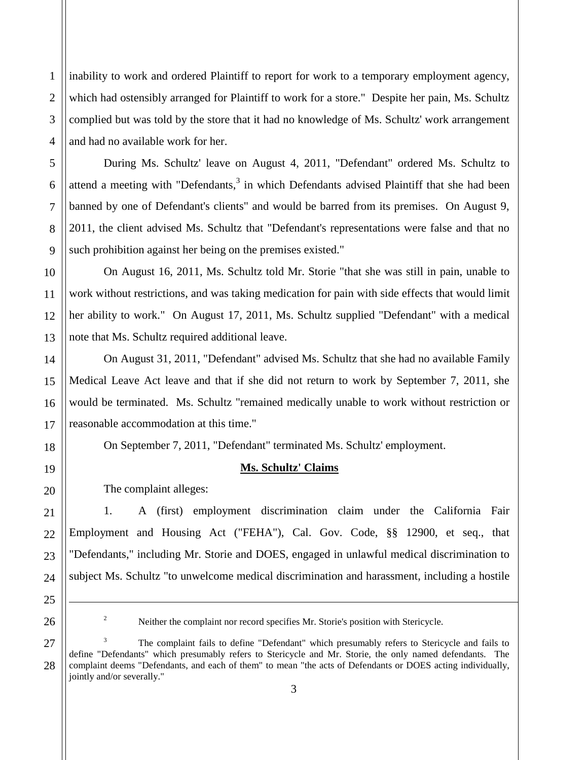inability to work and ordered Plaintiff to report for work to a temporary employment agency, which had ostensibly arranged for Plaintiff to work for a store." Despite her pain, Ms. Schultz complied but was told by the store that it had no knowledge of Ms. Schultz' work arrangement and had no available work for her.

During Ms. Schultz' leave on August 4, 2011, "Defendant" ordered Ms. Schultz to attend a meeting with "Defendants,<sup>3</sup> in which Defendants advised Plaintiff that she had been banned by one of Defendant's clients" and would be barred from its premises. On August 9, 2011, the client advised Ms. Schultz that "Defendant's representations were false and that no such prohibition against her being on the premises existed."

On August 16, 2011, Ms. Schultz told Mr. Storie "that she was still in pain, unable to work without restrictions, and was taking medication for pain with side effects that would limit her ability to work." On August 17, 2011, Ms. Schultz supplied "Defendant" with a medical note that Ms. Schultz required additional leave.

On August 31, 2011, "Defendant" advised Ms. Schultz that she had no available Family Medical Leave Act leave and that if she did not return to work by September 7, 2011, she would be terminated. Ms. Schultz "remained medically unable to work without restriction or reasonable accommodation at this time."

On September 7, 2011, "Defendant" terminated Ms. Schultz' employment.

# 19

1

2

3

4

5

6

7

8

9

10

11

12

13

14

15

16

17

18

20

21

22

23

24

**Ms. Schultz' Claims**

The complaint alleges:

1. A (first) employment discrimination claim under the California Fair Employment and Housing Act ("FEHA"), Cal. Gov. Code, §§ 12900, et seq., that "Defendants," including Mr. Storie and DOES, engaged in unlawful medical discrimination to subject Ms. Schultz "to unwelcome medical discrimination and harassment, including a hostile

 $\overline{a}$ 

27 28 <sup>3</sup> The complaint fails to define "Defendant" which presumably refers to Stericycle and fails to define "Defendants" which presumably refers to Stericycle and Mr. Storie, the only named defendants. The complaint deems "Defendants, and each of them" to mean "the acts of Defendants or DOES acting individually, jointly and/or severally."

<sup>25</sup> 26

<sup>&</sup>lt;sup>2</sup> Neither the complaint nor record specifies Mr. Storie's position with Stericycle.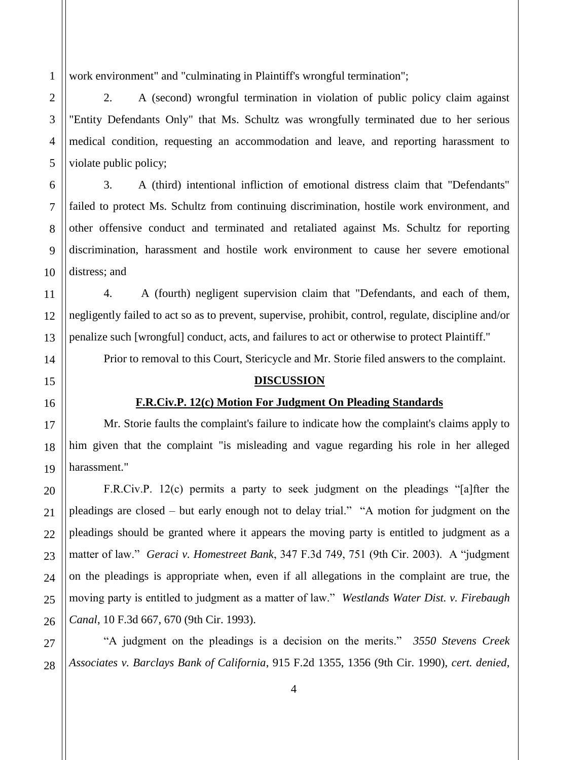work environment" and "culminating in Plaintiff's wrongful termination";

2. A (second) wrongful termination in violation of public policy claim against "Entity Defendants Only" that Ms. Schultz was wrongfully terminated due to her serious medical condition, requesting an accommodation and leave, and reporting harassment to violate public policy;

3. A (third) intentional infliction of emotional distress claim that "Defendants" failed to protect Ms. Schultz from continuing discrimination, hostile work environment, and other offensive conduct and terminated and retaliated against Ms. Schultz for reporting discrimination, harassment and hostile work environment to cause her severe emotional distress; and

4. A (fourth) negligent supervision claim that "Defendants, and each of them, negligently failed to act so as to prevent, supervise, prohibit, control, regulate, discipline and/or penalize such [wrongful] conduct, acts, and failures to act or otherwise to protect Plaintiff."

Prior to removal to this Court, Stericycle and Mr. Storie filed answers to the complaint.

### **DISCUSSION**

## **F.R.Civ.P. 12(c) Motion For Judgment On Pleading Standards**

Mr. Storie faults the complaint's failure to indicate how the complaint's claims apply to him given that the complaint "is misleading and vague regarding his role in her alleged harassment."

F.R.Civ.P. 12(c) permits a party to seek judgment on the pleadings "[a]fter the pleadings are closed – but early enough not to delay trial." "A motion for judgment on the pleadings should be granted where it appears the moving party is entitled to judgment as a matter of law." *Geraci v. Homestreet Bank*, 347 F.3d 749, 751 (9th Cir. 2003). A "judgment on the pleadings is appropriate when, even if all allegations in the complaint are true, the moving party is entitled to judgment as a matter of law." *Westlands Water Dist. v. Firebaugh Canal*, 10 F.3d 667, 670 (9th Cir. 1993).

"A judgment on the pleadings is a decision on the merits." *3550 Stevens Creek Associates v. Barclays Bank of California*, 915 F.2d 1355, 1356 (9th Cir. 1990), *cert. denied*,

1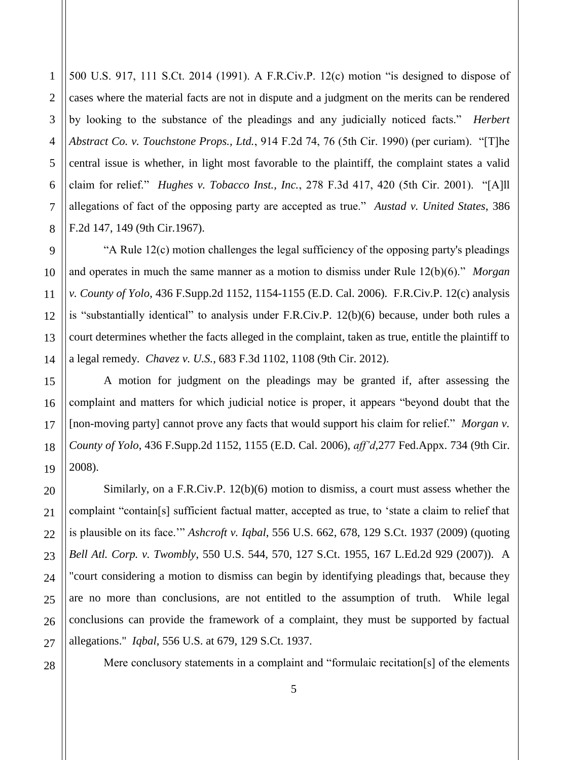1 500 U.S. 917, 111 S.Ct. 2014 (1991). A F.R.Civ.P. 12(c) motion "is designed to dispose of cases where the material facts are not in dispute and a judgment on the merits can be rendered by looking to the substance of the pleadings and any judicially noticed facts." *Herbert Abstract Co. v. Touchstone Props., Ltd.*, 914 F.2d 74, 76 (5th Cir. 1990) (per curiam). "[T]he central issue is whether, in light most favorable to the plaintiff, the complaint states a valid claim for relief." *Hughes v. Tobacco Inst., Inc.*, 278 F.3d 417, 420 (5th Cir. 2001). "[A]ll allegations of fact of the opposing party are accepted as true." *Austad v. United States*, 386 F.2d 147, 149 (9th Cir.1967).

"A Rule 12(c) motion challenges the legal sufficiency of the opposing party's pleadings and operates in much the same manner as a motion to dismiss under Rule 12(b)(6)." *Morgan v. County of Yolo*, 436 F.Supp.2d 1152, 1154-1155 (E.D. Cal. 2006). F.R.Civ.P. 12(c) analysis is "substantially identical" to analysis under F.R.Civ.P. 12(b)(6) because, under both rules a court determines whether the facts alleged in the complaint, taken as true, entitle the plaintiff to a legal remedy. *Chavez v. U.S.*, 683 F.3d 1102, 1108 (9th Cir. 2012).

A motion for judgment on the pleadings may be granted if, after assessing the complaint and matters for which judicial notice is proper, it appears "beyond doubt that the [non-moving party] cannot prove any facts that would support his claim for relief." *Morgan v. County of Yolo*, 436 F.Supp.2d 1152, 1155 (E.D. Cal. 2006), *aff'd*,277 Fed.Appx. 734 (9th Cir. 2008).

Similarly, on a F.R.Civ.P. 12(b)(6) motion to dismiss, a court must assess whether the complaint "contain[s] sufficient factual matter, accepted as true, to 'state a claim to relief that is plausible on its face.'" *Ashcroft v. Iqbal*, 556 U.S. 662, 678, 129 S.Ct. 1937 (2009) (quoting *Bell Atl. Corp. v. Twombly*, 550 U.S. 544, 570, 127 S.Ct. 1955, 167 L.Ed.2d 929 (2007)). A "court considering a motion to dismiss can begin by identifying pleadings that, because they are no more than conclusions, are not entitled to the assumption of truth. While legal conclusions can provide the framework of a complaint, they must be supported by factual allegations." *Iqbal*, 556 U.S. at 679, 129 S.Ct. 1937.

Mere conclusory statements in a complaint and "formulaic recitation[s] of the elements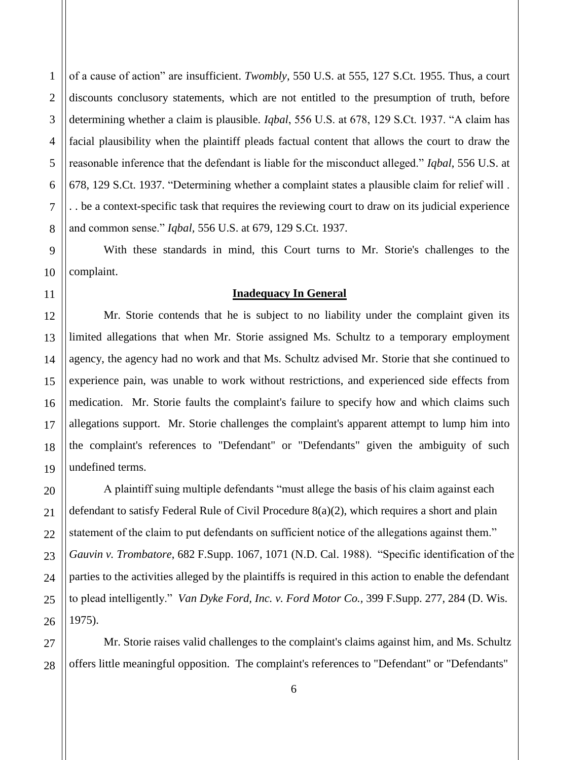of a cause of action" are insufficient. *Twombly*, 550 U.S. at 555, 127 S.Ct. 1955. Thus, a court discounts conclusory statements, which are not entitled to the presumption of truth, before determining whether a claim is plausible. *Iqbal*, 556 U.S. at 678, 129 S.Ct. 1937. "A claim has facial plausibility when the plaintiff pleads factual content that allows the court to draw the reasonable inference that the defendant is liable for the misconduct alleged." *Iqbal*, 556 U.S. at 678, 129 S.Ct. 1937. "Determining whether a complaint states a plausible claim for relief will . . . be a context-specific task that requires the reviewing court to draw on its judicial experience and common sense." *Iqbal,* 556 U.S. at 679, 129 S.Ct. 1937.

With these standards in mind, this Court turns to Mr. Storie's challenges to the complaint.

### **Inadequacy In General**

Mr. Storie contends that he is subject to no liability under the complaint given its limited allegations that when Mr. Storie assigned Ms. Schultz to a temporary employment agency, the agency had no work and that Ms. Schultz advised Mr. Storie that she continued to experience pain, was unable to work without restrictions, and experienced side effects from medication. Mr. Storie faults the complaint's failure to specify how and which claims such allegations support. Mr. Storie challenges the complaint's apparent attempt to lump him into the complaint's references to "Defendant" or "Defendants" given the ambiguity of such undefined terms.

A plaintiff suing multiple defendants "must allege the basis of his claim against each defendant to satisfy Federal Rule of Civil Procedure 8(a)(2), which requires a short and plain statement of the claim to put defendants on sufficient notice of the allegations against them." *Gauvin v. Trombatore*, 682 F.Supp. 1067, 1071 (N.D. Cal. 1988). "Specific identification of the parties to the activities alleged by the plaintiffs is required in this action to enable the defendant to plead intelligently." *Van Dyke Ford, Inc. v. Ford Motor Co.,* 399 F.Supp. 277, 284 (D. Wis. 1975).

Mr. Storie raises valid challenges to the complaint's claims against him, and Ms. Schultz offers little meaningful opposition. The complaint's references to "Defendant" or "Defendants"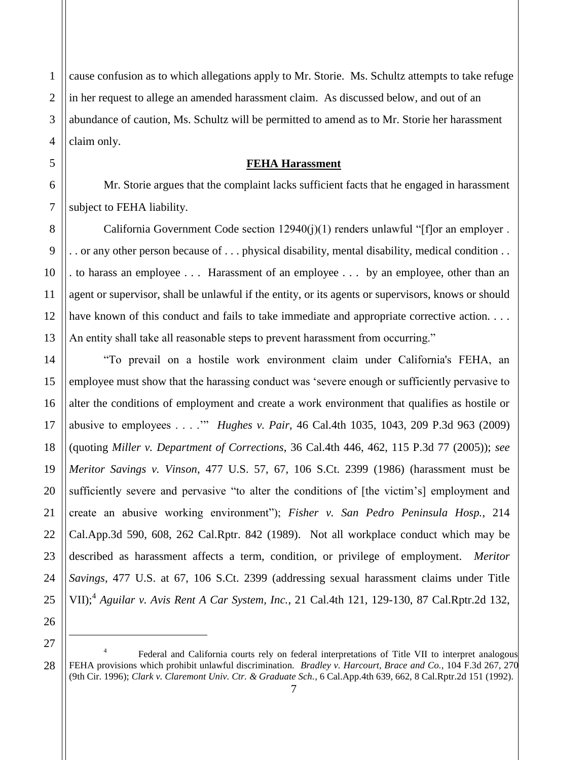cause confusion as to which allegations apply to Mr. Storie. Ms. Schultz attempts to take refuge in her request to allege an amended harassment claim. As discussed below, and out of an abundance of caution, Ms. Schultz will be permitted to amend as to Mr. Storie her harassment claim only.

### **FEHA Harassment**

Mr. Storie argues that the complaint lacks sufficient facts that he engaged in harassment subject to FEHA liability.

California Government Code section 12940(j)(1) renders unlawful "[f]or an employer . . . or any other person because of . . . physical disability, mental disability, medical condition . . . to harass an employee . . . Harassment of an employee . . . by an employee, other than an agent or supervisor, shall be unlawful if the entity, or its agents or supervisors, knows or should have known of this conduct and fails to take immediate and appropriate corrective action. . . . An entity shall take all reasonable steps to prevent harassment from occurring."

"To prevail on a hostile work environment claim under California's FEHA, an employee must show that the harassing conduct was 'severe enough or sufficiently pervasive to alter the conditions of employment and create a work environment that qualifies as hostile or abusive to employees . . . .'" *Hughes v. Pair*, 46 Cal.4th 1035, 1043, 209 P.3d 963 (2009) (quoting *Miller v. Department of Corrections*, 36 Cal.4th 446, 462, 115 P.3d 77 (2005)); *see Meritor Savings v. Vinson*, 477 U.S. 57, 67, 106 S.Ct. 2399 (1986) (harassment must be sufficiently severe and pervasive "to alter the conditions of [the victim's] employment and create an abusive working environment"); *Fisher v. San Pedro Peninsula Hosp.*, 214 Cal.App.3d 590, 608, 262 Cal.Rptr. 842 (1989). Not all workplace conduct which may be described as harassment affects a term, condition, or privilege of employment. *Meritor Savings*, 477 U.S. at 67, 106 S.Ct. 2399 (addressing sexual harassment claims under Title VII);<sup>4</sup> *Aguilar v. Avis Rent A Car System, Inc.*, 21 Cal.4th 121, 129-130, 87 Cal.Rptr.2d 132,

 $\overline{a}$ 

<sup>4</sup> Federal and California courts rely on federal interpretations of Title VII to interpret analogous FEHA provisions which prohibit unlawful discrimination. *Bradley v. Harcourt, Brace and Co.*, 104 F.3d 267, 270 (9th Cir. 1996); *Clark v. Claremont Univ. Ctr. & Graduate Sch.*, 6 Cal.App.4th 639, 662, 8 Cal.Rptr.2d 151 (1992).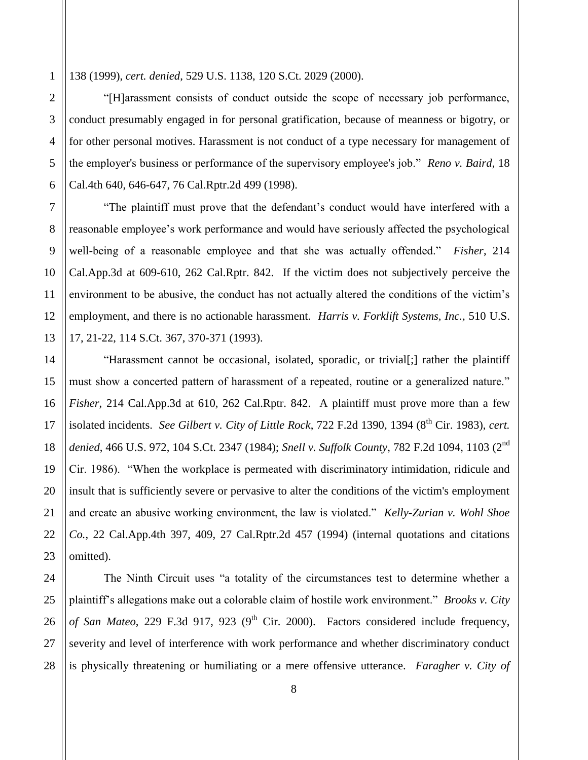138 (1999), *cert. denied*, 529 U.S. 1138, 120 S.Ct. 2029 (2000).

"[H]arassment consists of conduct outside the scope of necessary job performance, conduct presumably engaged in for personal gratification, because of meanness or bigotry, or for other personal motives. Harassment is not conduct of a type necessary for management of the employer's business or performance of the supervisory employee's job." *Reno v. Baird*, 18 Cal.4th 640, 646-647, 76 Cal.Rptr.2d 499 (1998).

"The plaintiff must prove that the defendant's conduct would have interfered with a reasonable employee's work performance and would have seriously affected the psychological well-being of a reasonable employee and that she was actually offended." *Fisher*, 214 Cal.App.3d at 609-610, 262 Cal.Rptr. 842. If the victim does not subjectively perceive the environment to be abusive, the conduct has not actually altered the conditions of the victim's employment, and there is no actionable harassment. *Harris v. Forklift Systems, Inc.,* 510 U.S. 17, 21-22, 114 S.Ct. 367, 370-371 (1993).

"Harassment cannot be occasional, isolated, sporadic, or trivial[;] rather the plaintiff must show a concerted pattern of harassment of a repeated, routine or a generalized nature." *Fisher*, 214 Cal.App.3d at 610, 262 Cal.Rptr. 842. A plaintiff must prove more than a few isolated incidents. *See Gilbert v. City of Little Rock*, 722 F.2d 1390, 1394 (8<sup>th</sup> Cir. 1983), *cert. denied*, 466 U.S. 972, 104 S.Ct. 2347 (1984); *Snell v. Suffolk County*, 782 F.2d 1094, 1103 (2nd Cir. 1986). "When the workplace is permeated with discriminatory intimidation, ridicule and insult that is sufficiently severe or pervasive to alter the conditions of the victim's employment and create an abusive working environment, the law is violated." *Kelly-Zurian v. Wohl Shoe Co.*, 22 Cal.App.4th 397, 409, 27 Cal.Rptr.2d 457 (1994) (internal quotations and citations omitted).

The Ninth Circuit uses "a totality of the circumstances test to determine whether a plaintiff's allegations make out a colorable claim of hostile work environment." *Brooks v. City of San Mateo*, 229 F.3d 917, 923 (9<sup>th</sup> Cir. 2000). Factors considered include frequency, severity and level of interference with work performance and whether discriminatory conduct is physically threatening or humiliating or a mere offensive utterance. *Faragher v. City of*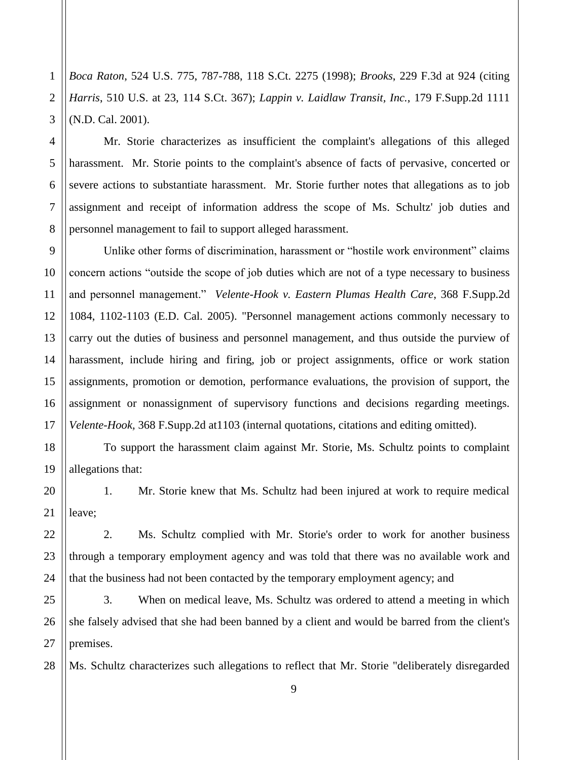*Boca Raton*, 524 U.S. 775, 787-788, 118 S.Ct. 2275 (1998); *Brooks*, 229 F.3d at 924 (citing *Harris*, 510 U.S. at 23, 114 S.Ct. 367); *Lappin v. Laidlaw Transit, Inc.*, 179 F.Supp.2d 1111 (N.D. Cal. 2001).

Mr. Storie characterizes as insufficient the complaint's allegations of this alleged harassment. Mr. Storie points to the complaint's absence of facts of pervasive, concerted or severe actions to substantiate harassment. Mr. Storie further notes that allegations as to job assignment and receipt of information address the scope of Ms. Schultz' job duties and personnel management to fail to support alleged harassment.

Unlike other forms of discrimination, harassment or "hostile work environment" claims concern actions "outside the scope of job duties which are not of a type necessary to business and personnel management." *Velente-Hook v. Eastern Plumas Health Care*, 368 F.Supp.2d 1084, 1102-1103 (E.D. Cal. 2005). "Personnel management actions commonly necessary to carry out the duties of business and personnel management, and thus outside the purview of harassment, include hiring and firing, job or project assignments, office or work station assignments, promotion or demotion, performance evaluations, the provision of support, the assignment or nonassignment of supervisory functions and decisions regarding meetings. *Velente-Hook,* 368 F.Supp.2d at1103 (internal quotations, citations and editing omitted).

To support the harassment claim against Mr. Storie, Ms. Schultz points to complaint allegations that:

1. Mr. Storie knew that Ms. Schultz had been injured at work to require medical leave;

2. Ms. Schultz complied with Mr. Storie's order to work for another business through a temporary employment agency and was told that there was no available work and that the business had not been contacted by the temporary employment agency; and

3. When on medical leave, Ms. Schultz was ordered to attend a meeting in which she falsely advised that she had been banned by a client and would be barred from the client's premises.

Ms. Schultz characterizes such allegations to reflect that Mr. Storie "deliberately disregarded

9

1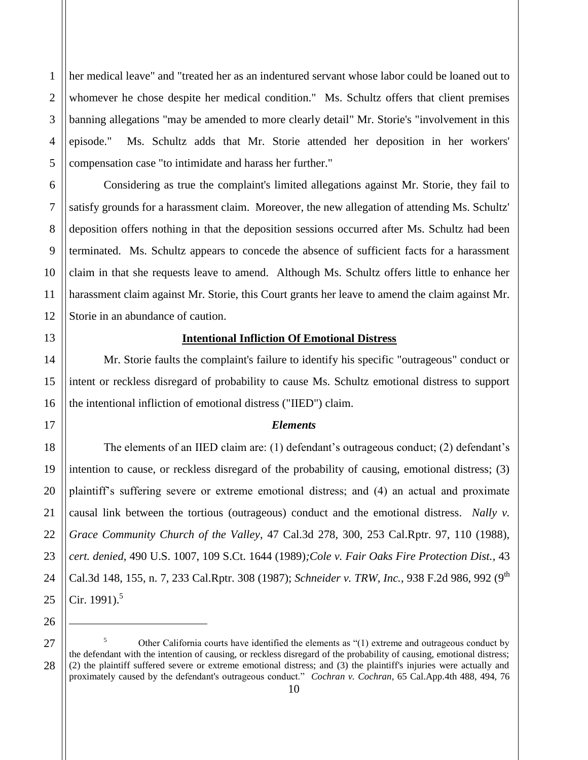1 2 3 4 5 her medical leave" and "treated her as an indentured servant whose labor could be loaned out to whomever he chose despite her medical condition." Ms. Schultz offers that client premises banning allegations "may be amended to more clearly detail" Mr. Storie's "involvement in this episode." Ms. Schultz adds that Mr. Storie attended her deposition in her workers' compensation case "to intimidate and harass her further."

Considering as true the complaint's limited allegations against Mr. Storie, they fail to satisfy grounds for a harassment claim. Moreover, the new allegation of attending Ms. Schultz' deposition offers nothing in that the deposition sessions occurred after Ms. Schultz had been terminated. Ms. Schultz appears to concede the absence of sufficient facts for a harassment claim in that she requests leave to amend. Although Ms. Schultz offers little to enhance her harassment claim against Mr. Storie, this Court grants her leave to amend the claim against Mr. Storie in an abundance of caution.

## **Intentional Infliction Of Emotional Distress**

Mr. Storie faults the complaint's failure to identify his specific "outrageous" conduct or intent or reckless disregard of probability to cause Ms. Schultz emotional distress to support the intentional infliction of emotional distress ("IIED") claim.

### *Elements*

The elements of an IIED claim are: (1) defendant's outrageous conduct; (2) defendant's intention to cause, or reckless disregard of the probability of causing, emotional distress; (3) plaintiff's suffering severe or extreme emotional distress; and (4) an actual and proximate causal link between the tortious (outrageous) conduct and the emotional distress. *Nally v. Grace Community Church of the Valley*, 47 Cal.3d 278, 300, 253 Cal.Rptr. 97, 110 (1988), *cert. denied*, 490 U.S. 1007, 109 S.Ct. 1644 (1989)*;Cole v. Fair Oaks Fire Protection Dist.*, 43 Cal.3d 148, 155, n. 7, 233 Cal.Rptr. 308 (1987); *Schneider v. TRW, Inc.*, 938 F.2d 986, 992 (9<sup>th</sup> Cir. 1991).<sup>5</sup>

 $\overline{a}$ 

28

6

7

8

9

10

11

12

13

14

15

16

17

18

19

20

21

22

23

24

<sup>26</sup> 27

<sup>5</sup> Other California courts have identified the elements as "(1) extreme and outrageous conduct by the defendant with the intention of causing, or reckless disregard of the probability of causing, emotional distress; (2) the plaintiff suffered severe or extreme emotional distress; and (3) the plaintiff's injuries were actually and proximately caused by the defendant's outrageous conduct." *Cochran v. Cochran*, 65 Cal.App.4th 488, 494, 76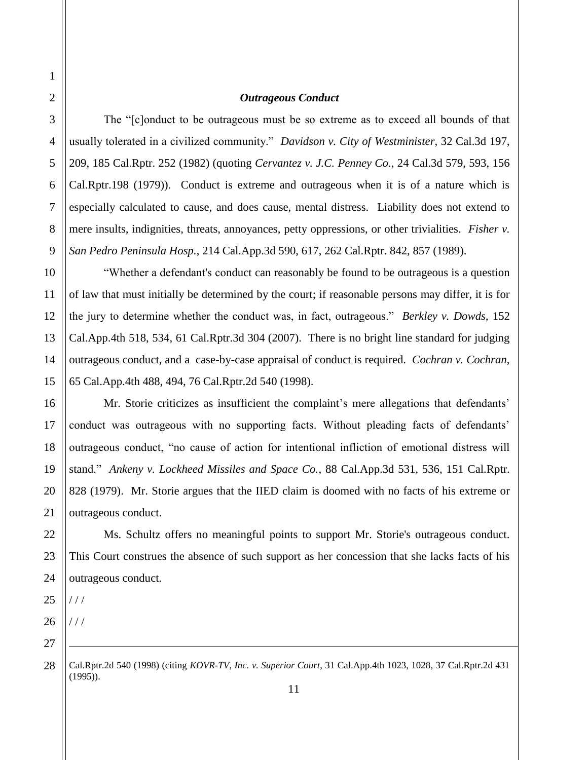#### *Outrageous Conduct*

The "[c]onduct to be outrageous must be so extreme as to exceed all bounds of that usually tolerated in a civilized community." *Davidson v. City of Westminister*, 32 Cal.3d 197, 209, 185 Cal.Rptr. 252 (1982) (quoting *Cervantez v. J.C. Penney Co.*, 24 Cal.3d 579, 593, 156 Cal.Rptr.198 (1979)). Conduct is extreme and outrageous when it is of a nature which is especially calculated to cause, and does cause, mental distress. Liability does not extend to mere insults, indignities, threats, annoyances, petty oppressions, or other trivialities. *Fisher v. San Pedro Peninsula Hosp.*, 214 Cal.App.3d 590, 617, 262 Cal.Rptr. 842, 857 (1989).

"Whether a defendant's conduct can reasonably be found to be outrageous is a question of law that must initially be determined by the court; if reasonable persons may differ, it is for the jury to determine whether the conduct was, in fact, outrageous." *Berkley v. Dowds,* 152 Cal.App.4th 518, 534, 61 Cal.Rptr.3d 304 (2007). There is no bright line standard for judging outrageous conduct, and a case-by-case appraisal of conduct is required. *Cochran v. Cochran*, 65 Cal.App.4th 488, 494, 76 Cal.Rptr.2d 540 (1998).

Mr. Storie criticizes as insufficient the complaint's mere allegations that defendants' conduct was outrageous with no supporting facts. Without pleading facts of defendants' outrageous conduct, "no cause of action for intentional infliction of emotional distress will stand." *Ankeny v. Lockheed Missiles and Space Co.*, 88 Cal.App.3d 531, 536, 151 Cal.Rptr. 828 (1979). Mr. Storie argues that the IIED claim is doomed with no facts of his extreme or outrageous conduct.

Ms. Schultz offers no meaningful points to support Mr. Storie's outrageous conduct. This Court construes the absence of such support as her concession that she lacks facts of his outrageous conduct.

 $111$ 

 $1/1$ 

 $\overline{a}$ 

Cal.Rptr.2d 540 (1998) (citing *KOVR-TV, Inc. v. Superior Court*, 31 Cal.App.4th 1023, 1028, 37 Cal.Rptr.2d 431 (1995)).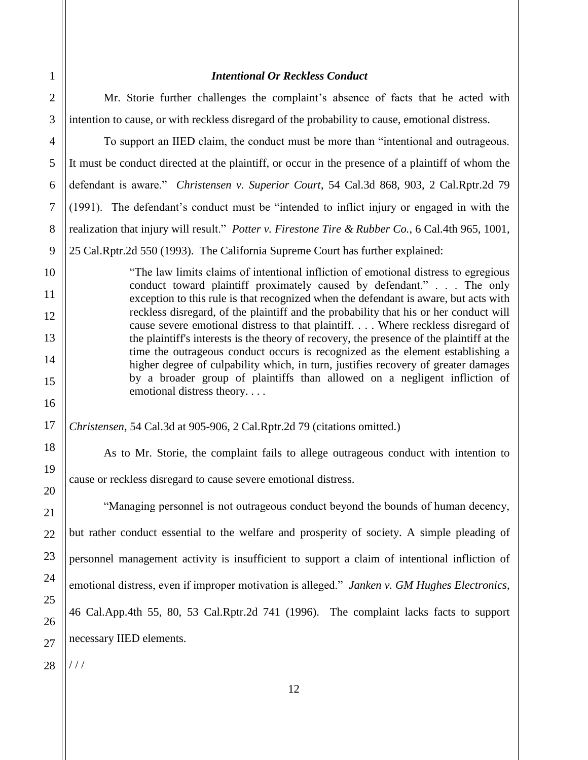### *Intentional Or Reckless Conduct*

Mr. Storie further challenges the complaint's absence of facts that he acted with intention to cause, or with reckless disregard of the probability to cause, emotional distress.

To support an IIED claim, the conduct must be more than "intentional and outrageous. It must be conduct directed at the plaintiff, or occur in the presence of a plaintiff of whom the defendant is aware." *Christensen v. Superior Court*, 54 Cal.3d 868, 903, 2 Cal.Rptr.2d 79 (1991). The defendant's conduct must be "intended to inflict injury or engaged in with the realization that injury will result." *Potter v. Firestone Tire & Rubber Co.,* 6 Cal.4th 965, 1001,

25 Cal.Rptr.2d 550 (1993). The California Supreme Court has further explained:

"The law limits claims of intentional infliction of emotional distress to egregious conduct toward plaintiff proximately caused by defendant." . . . The only exception to this rule is that recognized when the defendant is aware, but acts with reckless disregard, of the plaintiff and the probability that his or her conduct will cause severe emotional distress to that plaintiff. . . . Where reckless disregard of the plaintiff's interests is the theory of recovery, the presence of the plaintiff at the time the outrageous conduct occurs is recognized as the element establishing a higher degree of culpability which, in turn, justifies recovery of greater damages by a broader group of plaintiffs than allowed on a negligent infliction of emotional distress theory. . . .

*Christensen*, 54 Cal.3d at 905-906, 2 Cal.Rptr.2d 79 (citations omitted.)

As to Mr. Storie, the complaint fails to allege outrageous conduct with intention to cause or reckless disregard to cause severe emotional distress.

"Managing personnel is not outrageous conduct beyond the bounds of human decency, but rather conduct essential to the welfare and prosperity of society. A simple pleading of personnel management activity is insufficient to support a claim of intentional infliction of emotional distress, even if improper motivation is alleged." *Janken v. GM Hughes Electronics*, 46 Cal.App.4th 55, 80, 53 Cal.Rptr.2d 741 (1996). The complaint lacks facts to support necessary IIED elements.

28 / / /

1

2

3

4

5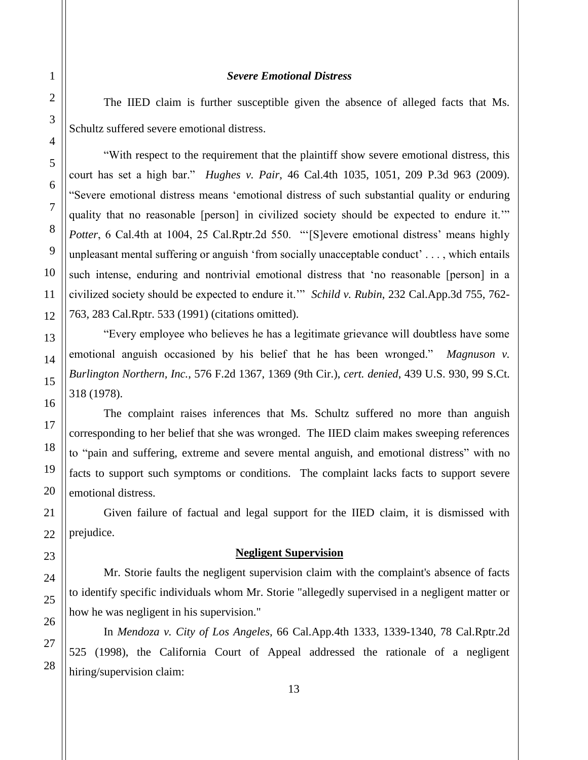### *Severe Emotional Distress*

The IIED claim is further susceptible given the absence of alleged facts that Ms. Schultz suffered severe emotional distress.

"With respect to the requirement that the plaintiff show severe emotional distress, this court has set a high bar." *Hughes v. Pair*, 46 Cal.4th 1035, 1051, 209 P.3d 963 (2009). "Severe emotional distress means 'emotional distress of such substantial quality or enduring quality that no reasonable [person] in civilized society should be expected to endure it.'" *Potter*, 6 Cal.4th at 1004, 25 Cal.Rptr.2d 550. "'[S]evere emotional distress' means highly unpleasant mental suffering or anguish 'from socially unacceptable conduct' . . . , which entails such intense, enduring and nontrivial emotional distress that 'no reasonable [person] in a civilized society should be expected to endure it.'" *Schild v. Rubin*, 232 Cal.App.3d 755, 762- 763, 283 Cal.Rptr. 533 (1991) (citations omitted).

"Every employee who believes he has a legitimate grievance will doubtless have some emotional anguish occasioned by his belief that he has been wronged." *Magnuson v. Burlington Northern, Inc.*, 576 F.2d 1367, 1369 (9th Cir.), *cert. denied*, 439 U.S. 930, 99 S.Ct. 318 (1978).

The complaint raises inferences that Ms. Schultz suffered no more than anguish corresponding to her belief that she was wronged. The IIED claim makes sweeping references to "pain and suffering, extreme and severe mental anguish, and emotional distress" with no facts to support such symptoms or conditions. The complaint lacks facts to support severe emotional distress.

Given failure of factual and legal support for the IIED claim, it is dismissed with prejudice.

### **Negligent Supervision**

Mr. Storie faults the negligent supervision claim with the complaint's absence of facts to identify specific individuals whom Mr. Storie "allegedly supervised in a negligent matter or how he was negligent in his supervision."

In *Mendoza v. City of Los Angeles,* 66 Cal.App.4th 1333, 1339-1340, 78 Cal.Rptr.2d 525 (1998), the California Court of Appeal addressed the rationale of a negligent hiring/supervision claim: